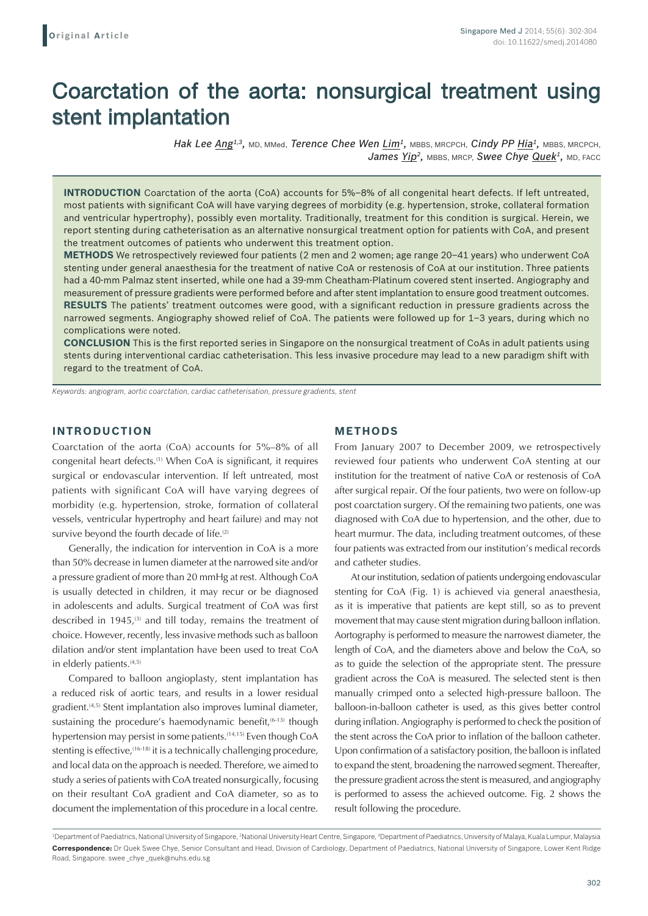# Coarctation of the aorta: nonsurgical treatment using stent implantation

*Hak Lee Ang1,3,* MD, MMed, *Terence Chee Wen Lim1,* MBBS, MRCPCH, *Cindy PP Hia1,* MBBS, MRCPCH, James Yip<sup>2</sup>, MBBS, MRCP, Swee Chye Quek<sup>1</sup>, MD, FACC

**INTRODUCTION** Coarctation of the aorta (CoA) accounts for 5%–8% of all congenital heart defects. If left untreated, most patients with significant CoA will have varying degrees of morbidity (e.g. hypertension, stroke, collateral formation and ventricular hypertrophy), possibly even mortality. Traditionally, treatment for this condition is surgical. Herein, we report stenting during catheterisation as an alternative nonsurgical treatment option for patients with CoA, and present the treatment outcomes of patients who underwent this treatment option.

**METHODS** We retrospectively reviewed four patients (2 men and 2 women; age range 20–41 years) who underwent CoA stenting under general anaesthesia for the treatment of native CoA or restenosis of CoA at our institution. Three patients had a 40-mm Palmaz stent inserted, while one had a 39-mm Cheatham-Platinum covered stent inserted. Angiography and measurement of pressure gradients were performed before and after stent implantation to ensure good treatment outcomes. **RESULTS** The patients' treatment outcomes were good, with a significant reduction in pressure gradients across the narrowed segments. Angiography showed relief of CoA. The patients were followed up for 1–3 years, during which no complications were noted.

**CONCLUSION** This is the first reported series in Singapore on the nonsurgical treatment of CoAs in adult patients using stents during interventional cardiac catheterisation. This less invasive procedure may lead to a new paradigm shift with regard to the treatment of CoA.

*Keywords: angiogram, aortic coarctation, cardiac catheterisation, pressure gradients, stent*

## **INTRODUCTION**

Coarctation of the aorta (CoA) accounts for 5%–8% of all congenital heart defects.(1) When CoA is significant, it requires surgical or endovascular intervention. If left untreated, most patients with significant CoA will have varying degrees of morbidity (e.g. hypertension, stroke, formation of collateral vessels, ventricular hypertrophy and heart failure) and may not survive beyond the fourth decade of life.<sup>(2)</sup>

Generally, the indication for intervention in CoA is a more than 50% decrease in lumen diameter at the narrowed site and/or a pressure gradient of more than 20 mmHg at rest. Although CoA is usually detected in children, it may recur or be diagnosed in adolescents and adults. Surgical treatment of CoA was first described in 1945, $(3)$  and till today, remains the treatment of choice. However, recently, less invasive methods such as balloon dilation and/or stent implantation have been used to treat CoA in elderly patients.<sup>(4,5)</sup>

Compared to balloon angioplasty, stent implantation has a reduced risk of aortic tears, and results in a lower residual gradient.<sup>(4,5)</sup> Stent implantation also improves luminal diameter, sustaining the procedure's haemodynamic benefit,<sup>(6-13)</sup> though hypertension may persist in some patients.<sup>(14,15)</sup> Even though CoA stenting is effective, (16-18) it is a technically challenging procedure, and local data on the approach is needed. Therefore, we aimed to study a series of patients with CoA treated nonsurgically, focusing on their resultant CoA gradient and CoA diameter, so as to document the implementation of this procedure in a local centre.

## **METHODS**

From January 2007 to December 2009, we retrospectively reviewed four patients who underwent CoA stenting at our institution for the treatment of native CoA or restenosis of CoA after surgical repair. Of the four patients, two were on follow-up post coarctation surgery. Of the remaining two patients, one was diagnosed with CoA due to hypertension, and the other, due to heart murmur. The data, including treatment outcomes, of these four patients was extracted from our institution's medical records and catheter studies.

At our institution, sedation of patients undergoing endovascular stenting for CoA (Fig. 1) is achieved via general anaesthesia, as it is imperative that patients are kept still, so as to prevent movement that may cause stent migration during balloon inflation. Aortography is performed to measure the narrowest diameter, the length of CoA, and the diameters above and below the CoA, so as to guide the selection of the appropriate stent. The pressure gradient across the CoA is measured. The selected stent is then manually crimped onto a selected high-pressure balloon. The balloon-in-balloon catheter is used, as this gives better control during inflation. Angiography is performed to check the position of the stent across the CoA prior to inflation of the balloon catheter. Upon confirmation of a satisfactory position, the balloon is inflated to expand the stent, broadening the narrowed segment. Thereafter, the pressure gradient across the stent is measured, and angiography is performed to assess the achieved outcome. Fig. 2 shows the result following the procedure.

<sup>&</sup>lt;sup>1</sup>Department of Paediatrics, National University of Singapore, <sup>2</sup>National University Heart Centre, Singapore, <sup>3</sup>Department of Paediatrics, University of Malaya, Kuala Lumpur, Malaysia **Correspondence:** Dr Quek Swee Chye, Senior Consultant and Head, Division of Cardiology, Department of Paediatrics, National University of Singapore, Lower Kent Ridge Road, Singapore. swee \_chye \_quek@nuhs.edu.sg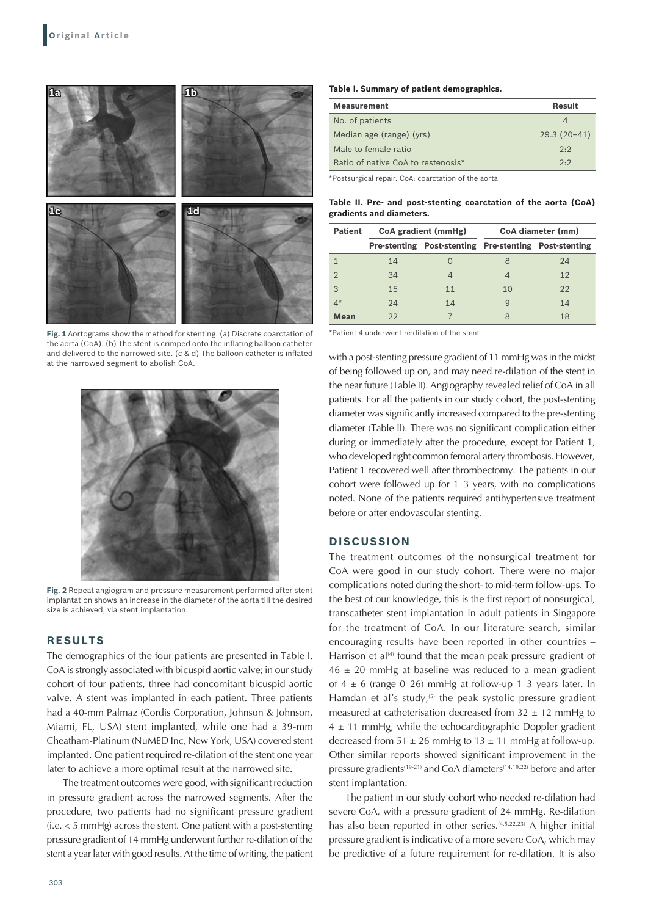

**Fig. 1** Aortograms show the method for stenting. (a) Discrete coarctation of the aorta (CoA). (b) The stent is crimped onto the inflating balloon catheter and delivered to the narrowed site. (c & d) The balloon catheter is inflated at the narrowed segment to abolish CoA.



**Fig. 2** Repeat angiogram and pressure measurement performed after stent implantation shows an increase in the diameter of the aorta till the desired size is achieved, via stent implantation.

# **RESULTS**

The demographics of the four patients are presented in Table I. CoA is strongly associated with bicuspid aortic valve; in our study cohort of four patients, three had concomitant bicuspid aortic valve. A stent was implanted in each patient. Three patients had a 40-mm Palmaz (Cordis Corporation, Johnson & Johnson, Miami, FL, USA) stent implanted, while one had a 39-mm Cheatham-Platinum (NuMED Inc, New York, USA) covered stent implanted. One patient required re-dilation of the stent one year later to achieve a more optimal result at the narrowed site.

The treatment outcomes were good, with significant reduction in pressure gradient across the narrowed segments. After the procedure, two patients had no significant pressure gradient (i.e. < 5 mmHg) across the stent. One patient with a post-stenting pressure gradient of 14 mmHg underwent further re-dilation of the stent a year later with good results. At the time of writing, the patient

#### **Table I. Summary of patient demographics.**

| <b>Measurement</b>                 | Result        |
|------------------------------------|---------------|
| No. of patients                    | 4             |
| Median age (range) (yrs)           | $29.3(20-41)$ |
| Male to female ratio               | 2:2           |
| Ratio of native CoA to restenosis* | 2:2           |

\*Postsurgical repair. CoA: coarctation of the aorta

**Table II. Pre‑ and post‑stenting coarctation of the aorta (CoA) gradients and diameters.**

| <b>Patient</b> | CoA gradient (mmHg) |                                                       | CoA diameter (mm) |    |
|----------------|---------------------|-------------------------------------------------------|-------------------|----|
|                |                     | Pre-stenting Post-stenting Pre-stenting Post-stenting |                   |    |
|                | 14                  |                                                       |                   | 24 |
|                | 34                  |                                                       |                   | 12 |
| 3              | 15                  | 11                                                    | 10                | 22 |
| $4^*$          | 24                  | 14                                                    | 9                 | 14 |
| <b>Mean</b>    | 22                  |                                                       | 8                 | 18 |

\*Patient 4 underwent re-dilation of the stent

with a post-stenting pressure gradient of 11 mmHg was in the midst of being followed up on, and may need re-dilation of the stent in the near future (Table II). Angiography revealed relief of CoA in all patients. For all the patients in our study cohort, the post-stenting diameter was significantly increased compared to the pre-stenting diameter (Table II). There was no significant complication either during or immediately after the procedure, except for Patient 1, who developed right common femoral artery thrombosis. However, Patient 1 recovered well after thrombectomy. The patients in our cohort were followed up for 1–3 years, with no complications noted. None of the patients required antihypertensive treatment before or after endovascular stenting.

### **DISCUSSION**

The treatment outcomes of the nonsurgical treatment for CoA were good in our study cohort. There were no major complications noted during the short- to mid-term follow-ups. To the best of our knowledge, this is the first report of nonsurgical, transcatheter stent implantation in adult patients in Singapore for the treatment of CoA. In our literature search, similar encouraging results have been reported in other countries – Harrison et al $(4)$  found that the mean peak pressure gradient of  $46 \pm 20$  mmHg at baseline was reduced to a mean gradient of  $4 \pm 6$  (range 0–26) mmHg at follow-up 1–3 years later. In Hamdan et al's study, $(5)$  the peak systolic pressure gradient measured at catheterisation decreased from  $32 \pm 12$  mmHg to  $4 \pm 11$  mmHg, while the echocardiographic Doppler gradient decreased from  $51 \pm 26$  mmHg to  $13 \pm 11$  mmHg at follow-up. Other similar reports showed significant improvement in the pressure gradients<sup>(19-21)</sup> and CoA diameters<sup>(14,19,22)</sup> before and after stent implantation.

The patient in our study cohort who needed re-dilation had severe CoA, with a pressure gradient of 24 mmHg. Re-dilation has also been reported in other series.<sup>(4,5,22,23)</sup> A higher initial pressure gradient is indicative of a more severe CoA, which may be predictive of a future requirement for re-dilation. It is also